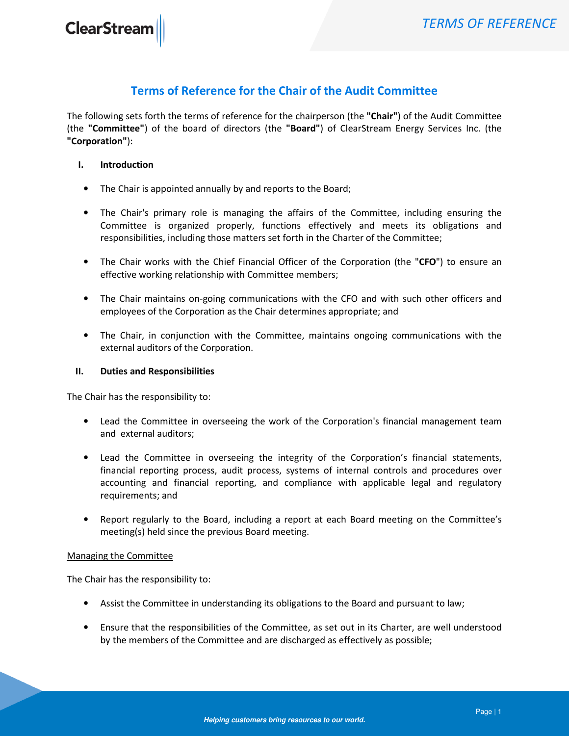## Terms of Reference for the Chair of the Audit Committee

The following sets forth the terms of reference for the chairperson (the "Chair") of the Audit Committee (the "Committee") of the board of directors (the "Board") of ClearStream Energy Services Inc. (the "Corporation"):

## I. Introduction

- The Chair is appointed annually by and reports to the Board;
- The Chair's primary role is managing the affairs of the Committee, including ensuring the Committee is organized properly, functions effectively and meets its obligations and responsibilities, including those matters set forth in the Charter of the Committee;
- The Chair works with the Chief Financial Officer of the Corporation (the "CFO") to ensure an effective working relationship with Committee members;
- The Chair maintains on-going communications with the CFO and with such other officers and employees of the Corporation as the Chair determines appropriate; and
- The Chair, in conjunction with the Committee, maintains ongoing communications with the external auditors of the Corporation.

## II. Duties and Responsibilities

The Chair has the responsibility to:

- Lead the Committee in overseeing the work of the Corporation's financial management team and external auditors;
- Lead the Committee in overseeing the integrity of the Corporation's financial statements, financial reporting process, audit process, systems of internal controls and procedures over accounting and financial reporting, and compliance with applicable legal and regulatory requirements; and
- Report regularly to the Board, including a report at each Board meeting on the Committee's meeting(s) held since the previous Board meeting.

## Managing the Committee

The Chair has the responsibility to:

- Assist the Committee in understanding its obligations to the Board and pursuant to law;
- Ensure that the responsibilities of the Committee, as set out in its Charter, are well understood by the members of the Committee and are discharged as effectively as possible;